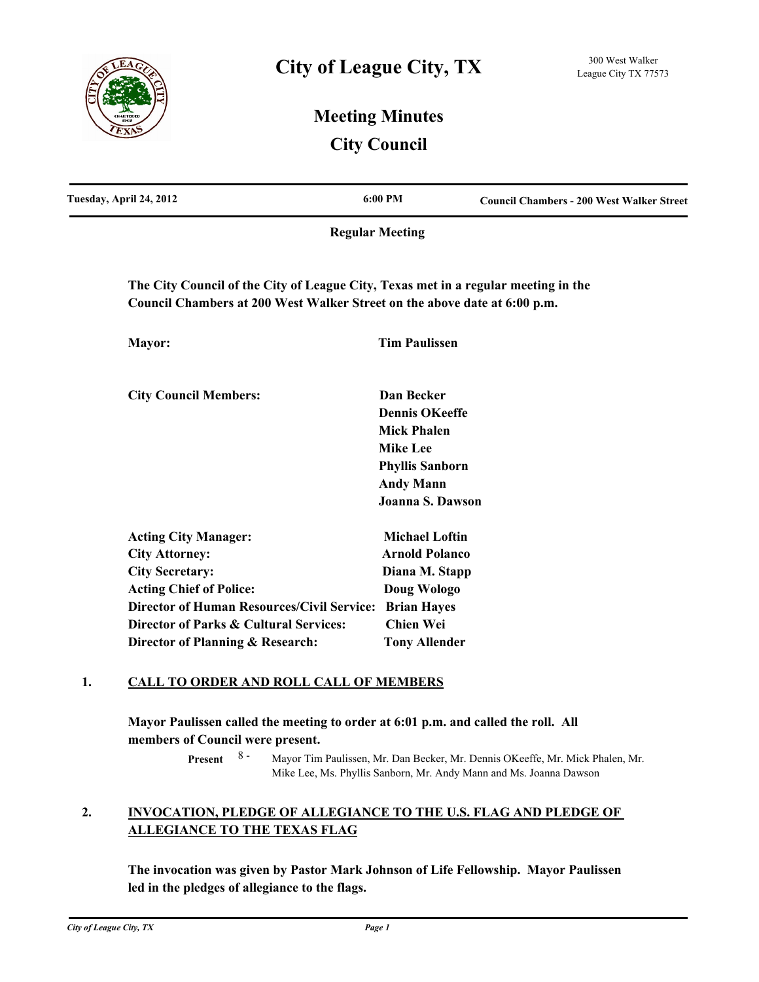

# **Meeting Minutes City Council**

| Tuesday, April 24, 2012                                                                                                                                         | 6:00 PM                                     | <b>Council Chambers - 200 West Walker Street</b> |
|-----------------------------------------------------------------------------------------------------------------------------------------------------------------|---------------------------------------------|--------------------------------------------------|
|                                                                                                                                                                 | <b>Regular Meeting</b>                      |                                                  |
| The City Council of the City of League City, Texas met in a regular meeting in the<br>Council Chambers at 200 West Walker Street on the above date at 6:00 p.m. |                                             |                                                  |
| Mayor:                                                                                                                                                          | <b>Tim Paulissen</b>                        |                                                  |
| <b>City Council Members:</b>                                                                                                                                    | Dan Becker                                  |                                                  |
|                                                                                                                                                                 | <b>Dennis OKeeffe</b><br><b>Mick Phalen</b> |                                                  |
|                                                                                                                                                                 | <b>Mike Lee</b>                             |                                                  |
|                                                                                                                                                                 | <b>Phyllis Sanborn</b>                      |                                                  |
|                                                                                                                                                                 | <b>Andy Mann</b>                            |                                                  |
|                                                                                                                                                                 | Joanna S. Dawson                            |                                                  |
| <b>Acting City Manager:</b>                                                                                                                                     | <b>Michael Loftin</b>                       |                                                  |
| <b>City Attorney:</b>                                                                                                                                           | <b>Arnold Polanco</b>                       |                                                  |
| <b>City Secretary:</b>                                                                                                                                          | Diana M. Stapp                              |                                                  |
| <b>Acting Chief of Police:</b>                                                                                                                                  | Doug Wologo                                 |                                                  |
| <b>Director of Human Resources/Civil Service:</b>                                                                                                               | <b>Brian Hayes</b>                          |                                                  |
| Director of Parks & Cultural Services:                                                                                                                          | <b>Chien Wei</b>                            |                                                  |
| Director of Planning & Research:                                                                                                                                | <b>Tony Allender</b>                        |                                                  |

### **1. CALL TO ORDER AND ROLL CALL OF MEMBERS**

**Mayor Paulissen called the meeting to order at 6:01 p.m. and called the roll. All members of Council were present.**

> Mayor Tim Paulissen, Mr. Dan Becker, Mr. Dennis OKeeffe, Mr. Mick Phalen, Mr. Mike Lee, Ms. Phyllis Sanborn, Mr. Andy Mann and Ms. Joanna Dawson **Present** 8 -

#### **INVOCATION, PLEDGE OF ALLEGIANCE TO THE U.S. FLAG AND PLEDGE OF ALLEGIANCE TO THE TEXAS FLAG 2.**

**The invocation was given by Pastor Mark Johnson of Life Fellowship. Mayor Paulissen led in the pledges of allegiance to the flags.**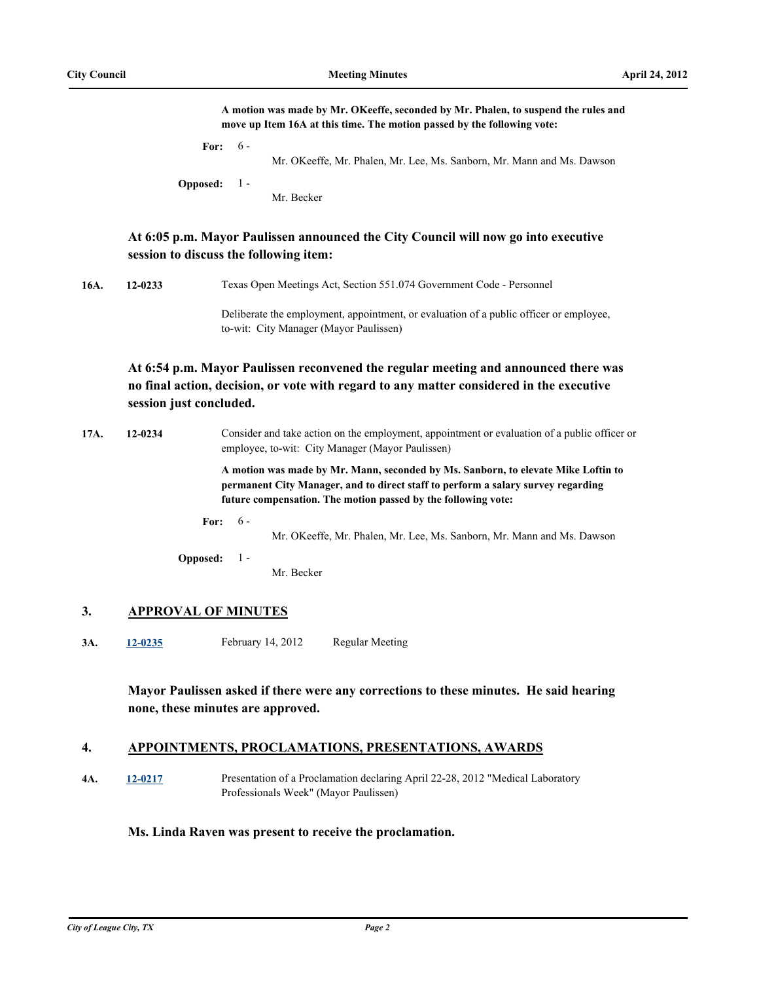|      |                         | A motion was made by Mr. OKeeffe, seconded by Mr. Phalen, to suspend the rules and<br>move up Item 16A at this time. The motion passed by the following vote:                                                                          |
|------|-------------------------|----------------------------------------------------------------------------------------------------------------------------------------------------------------------------------------------------------------------------------------|
|      |                         | $6 -$<br>For:<br>Mr. OKeeffe, Mr. Phalen, Mr. Lee, Ms. Sanborn, Mr. Mann and Ms. Dawson<br><b>Opposed:</b><br>$1 -$<br>Mr. Becker                                                                                                      |
|      |                         | At 6:05 p.m. Mayor Paulissen announced the City Council will now go into executive<br>session to discuss the following item:                                                                                                           |
| 16A. | 12-0233                 | Texas Open Meetings Act, Section 551.074 Government Code - Personnel                                                                                                                                                                   |
|      |                         | Deliberate the employment, appointment, or evaluation of a public officer or employee,<br>to-wit: City Manager (Mayor Paulissen)                                                                                                       |
|      | session just concluded. | At 6:54 p.m. Mayor Paulissen reconvened the regular meeting and announced there was<br>no final action, decision, or vote with regard to any matter considered in the executive                                                        |
| 17A. | 12-0234                 | Consider and take action on the employment, appointment or evaluation of a public officer or<br>employee, to-wit: City Manager (Mayor Paulissen)                                                                                       |
|      |                         | A motion was made by Mr. Mann, seconded by Ms. Sanborn, to elevate Mike Loftin to<br>permanent City Manager, and to direct staff to perform a salary survey regarding<br>future compensation. The motion passed by the following vote: |
|      |                         | $6 -$<br>For:<br>Mr. OKeeffe, Mr. Phalen, Mr. Lee, Ms. Sanborn, Mr. Mann and Ms. Dawson<br><b>Opposed:</b><br>$1 -$<br>Mr. Becker                                                                                                      |
| 3.   |                         | <b>APPROVAL OF MINUTES</b>                                                                                                                                                                                                             |
| 3A.  | 12-0235                 | <b>Regular Meeting</b><br>February 14, 2012                                                                                                                                                                                            |
|      |                         | Mayor Paulissen asked if there were any corrections to these minutes. He said hearing<br>none, these minutes are approved.                                                                                                             |
| 4.   |                         | APPOINTMENTS, PROCLAMATIONS, PRESENTATIONS, AWARDS                                                                                                                                                                                     |

**4A. [12-0217](http://leaguecity.legistar.com/gateway.aspx?m=l&id=3065)** Presentation of a Proclamation declaring April 22-28, 2012 "Medical Laboratory Professionals Week" (Mayor Paulissen)

### **Ms. Linda Raven was present to receive the proclamation.**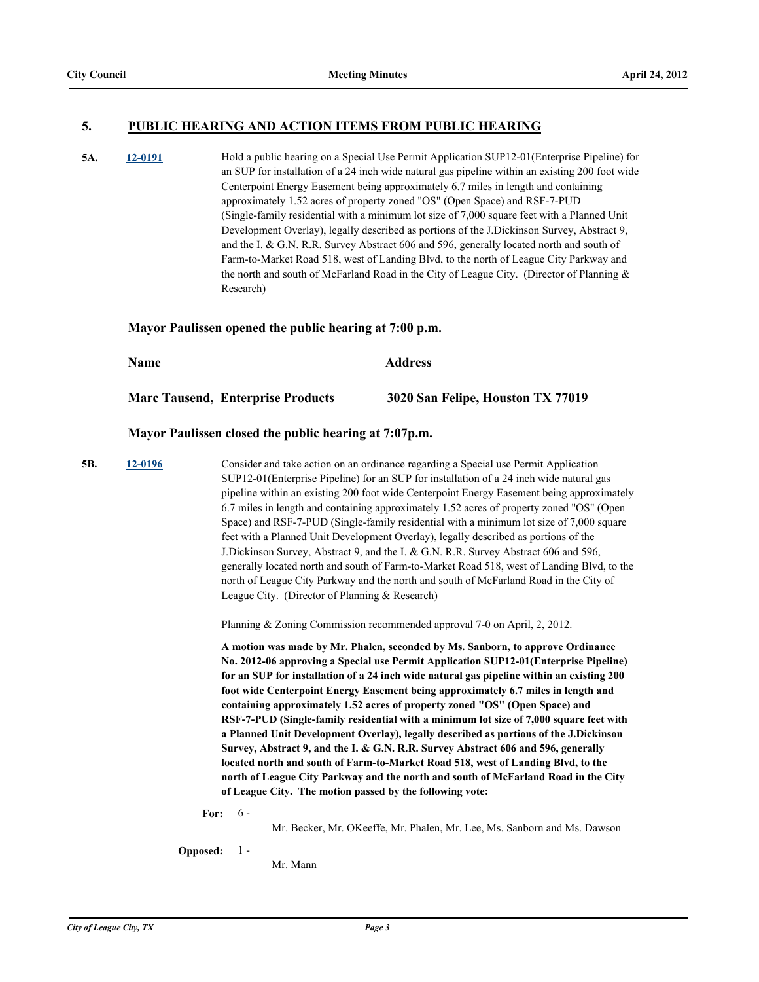### **5. PUBLIC HEARING AND ACTION ITEMS FROM PUBLIC HEARING**

**5A. [12-0191](http://leaguecity.legistar.com/gateway.aspx?m=l&id=3039)** Hold a public hearing on a Special Use Permit Application SUP12-01(Enterprise Pipeline) for an SUP for installation of a 24 inch wide natural gas pipeline within an existing 200 foot wide Centerpoint Energy Easement being approximately 6.7 miles in length and containing approximately 1.52 acres of property zoned "OS" (Open Space) and RSF-7-PUD (Single-family residential with a minimum lot size of 7,000 square feet with a Planned Unit Development Overlay), legally described as portions of the J.Dickinson Survey, Abstract 9, and the I. & G.N. R.R. Survey Abstract 606 and 596, generally located north and south of Farm-to-Market Road 518, west of Landing Blvd, to the north of League City Parkway and the north and south of McFarland Road in the City of League City. (Director of Planning & Research)

#### **Mayor Paulissen opened the public hearing at 7:00 p.m.**

| Name |                                          | <b>Address</b>                    |  |
|------|------------------------------------------|-----------------------------------|--|
|      | <b>Marc Tausend, Enterprise Products</b> | 3020 San Felipe, Houston TX 77019 |  |

### **Mayor Paulissen closed the public hearing at 7:07p.m.**

**5B. [12-0196](http://leaguecity.legistar.com/gateway.aspx?m=l&id=3044)** Consider and take action on an ordinance regarding a Special use Permit Application SUP12-01(Enterprise Pipeline) for an SUP for installation of a 24 inch wide natural gas pipeline within an existing 200 foot wide Centerpoint Energy Easement being approximately 6.7 miles in length and containing approximately 1.52 acres of property zoned "OS" (Open Space) and RSF-7-PUD (Single-family residential with a minimum lot size of 7,000 square feet with a Planned Unit Development Overlay), legally described as portions of the J.Dickinson Survey, Abstract 9, and the I. & G.N. R.R. Survey Abstract 606 and 596, generally located north and south of Farm-to-Market Road 518, west of Landing Blvd, to the north of League City Parkway and the north and south of McFarland Road in the City of League City. (Director of Planning & Research)

Planning & Zoning Commission recommended approval 7-0 on April, 2, 2012.

**A motion was made by Mr. Phalen, seconded by Ms. Sanborn, to approve Ordinance No. 2012-06 approving a Special use Permit Application SUP12-01(Enterprise Pipeline) for an SUP for installation of a 24 inch wide natural gas pipeline within an existing 200 foot wide Centerpoint Energy Easement being approximately 6.7 miles in length and containing approximately 1.52 acres of property zoned "OS" (Open Space) and RSF-7-PUD (Single-family residential with a minimum lot size of 7,000 square feet with a Planned Unit Development Overlay), legally described as portions of the J.Dickinson Survey, Abstract 9, and the I. & G.N. R.R. Survey Abstract 606 and 596, generally located north and south of Farm-to-Market Road 518, west of Landing Blvd, to the north of League City Parkway and the north and south of McFarland Road in the City of League City. The motion passed by the following vote:**

**For:**  $-6-$ 

Mr. Becker, Mr. OKeeffe, Mr. Phalen, Mr. Lee, Ms. Sanborn and Ms. Dawson

**Opposed:** 1 -

Mr. Mann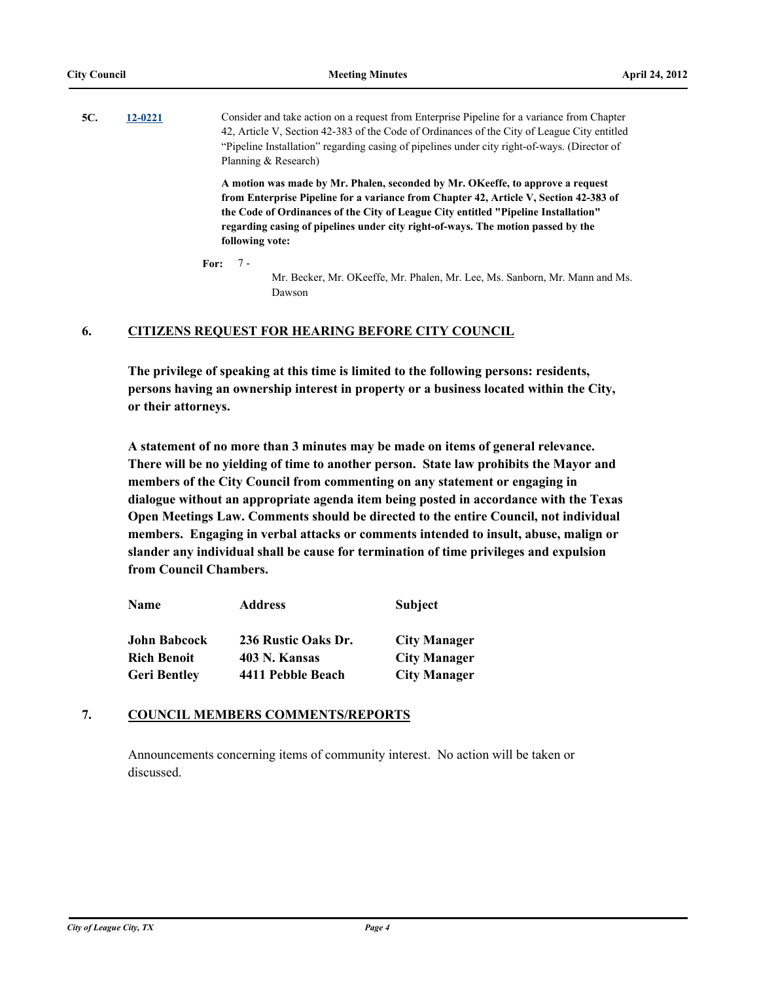**5C. [12-0221](http://leaguecity.legistar.com/gateway.aspx?m=l&id=3069)** Consider and take action on a request from Enterprise Pipeline for a variance from Chapter 42, Article V, Section 42-383 of the Code of Ordinances of the City of League City entitled "Pipeline Installation" regarding casing of pipelines under city right-of-ways. (Director of Planning & Research)

> **A motion was made by Mr. Phalen, seconded by Mr. OKeeffe, to approve a request from Enterprise Pipeline for a variance from Chapter 42, Article V, Section 42-383 of the Code of Ordinances of the City of League City entitled "Pipeline Installation" regarding casing of pipelines under city right-of-ways. The motion passed by the following vote:**

**For:** 7 -

Mr. Becker, Mr. OKeeffe, Mr. Phalen, Mr. Lee, Ms. Sanborn, Mr. Mann and Ms. Dawson

### **6. CITIZENS REQUEST FOR HEARING BEFORE CITY COUNCIL**

**The privilege of speaking at this time is limited to the following persons: residents, persons having an ownership interest in property or a business located within the City, or their attorneys.**

**A statement of no more than 3 minutes may be made on items of general relevance. There will be no yielding of time to another person. State law prohibits the Mayor and members of the City Council from commenting on any statement or engaging in dialogue without an appropriate agenda item being posted in accordance with the Texas Open Meetings Law. Comments should be directed to the entire Council, not individual members. Engaging in verbal attacks or comments intended to insult, abuse, malign or slander any individual shall be cause for termination of time privileges and expulsion from Council Chambers.**

| Name                | <b>Address</b>      | <b>Subject</b>      |
|---------------------|---------------------|---------------------|
| <b>John Babcock</b> | 236 Rustic Oaks Dr. | <b>City Manager</b> |
| <b>Rich Benoit</b>  | 403 N. Kansas       | <b>City Manager</b> |
| <b>Geri Bentley</b> | 4411 Pebble Beach   | <b>City Manager</b> |

### **7. COUNCIL MEMBERS COMMENTS/REPORTS**

Announcements concerning items of community interest. No action will be taken or discussed.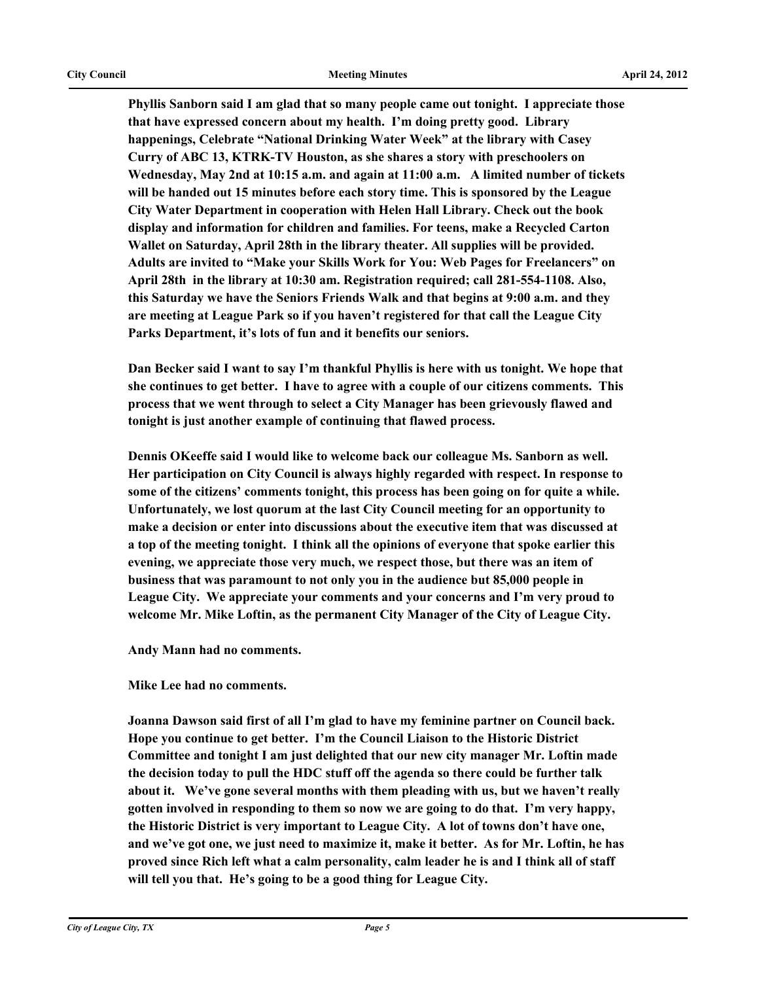**Phyllis Sanborn said I am glad that so many people came out tonight. I appreciate those that have expressed concern about my health. I'm doing pretty good. Library happenings, Celebrate "National Drinking Water Week" at the library with Casey Curry of ABC 13, KTRK-TV Houston, as she shares a story with preschoolers on Wednesday, May 2nd at 10:15 a.m. and again at 11:00 a.m. A limited number of tickets will be handed out 15 minutes before each story time. This is sponsored by the League City Water Department in cooperation with Helen Hall Library. Check out the book display and information for children and families. For teens, make a Recycled Carton Wallet on Saturday, April 28th in the library theater. All supplies will be provided. Adults are invited to "Make your Skills Work for You: Web Pages for Freelancers" on April 28th in the library at 10:30 am. Registration required; call 281-554-1108. Also, this Saturday we have the Seniors Friends Walk and that begins at 9:00 a.m. and they are meeting at League Park so if you haven't registered for that call the League City Parks Department, it's lots of fun and it benefits our seniors.** 

**Dan Becker said I want to say I'm thankful Phyllis is here with us tonight. We hope that she continues to get better. I have to agree with a couple of our citizens comments. This process that we went through to select a City Manager has been grievously flawed and tonight is just another example of continuing that flawed process.** 

**Dennis OKeeffe said I would like to welcome back our colleague Ms. Sanborn as well. Her participation on City Council is always highly regarded with respect. In response to some of the citizens' comments tonight, this process has been going on for quite a while. Unfortunately, we lost quorum at the last City Council meeting for an opportunity to make a decision or enter into discussions about the executive item that was discussed at a top of the meeting tonight. I think all the opinions of everyone that spoke earlier this evening, we appreciate those very much, we respect those, but there was an item of business that was paramount to not only you in the audience but 85,000 people in League City. We appreciate your comments and your concerns and I'm very proud to**  welcome Mr. Mike Loftin, as the permanent City Manager of the City of League City.

**Andy Mann had no comments.**

**Mike Lee had no comments.**

**Joanna Dawson said first of all I'm glad to have my feminine partner on Council back. Hope you continue to get better. I'm the Council Liaison to the Historic District Committee and tonight I am just delighted that our new city manager Mr. Loftin made the decision today to pull the HDC stuff off the agenda so there could be further talk about it. We've gone several months with them pleading with us, but we haven't really gotten involved in responding to them so now we are going to do that. I'm very happy, the Historic District is very important to League City. A lot of towns don't have one, and we've got one, we just need to maximize it, make it better. As for Mr. Loftin, he has proved since Rich left what a calm personality, calm leader he is and I think all of staff will tell you that. He's going to be a good thing for League City.**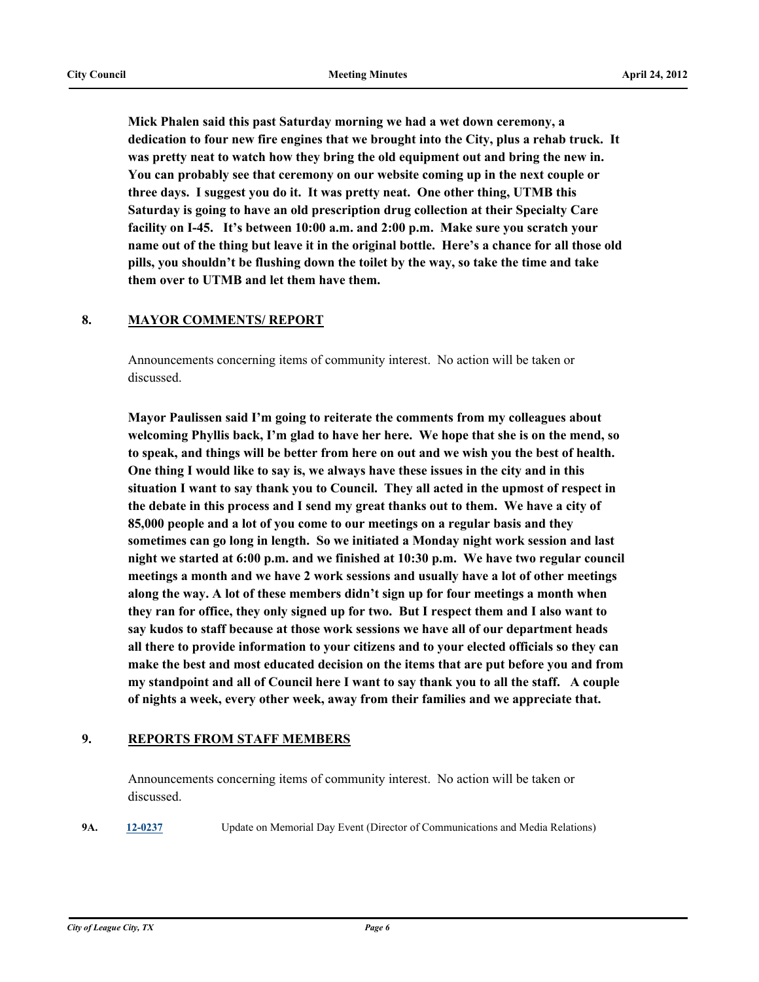**Mick Phalen said this past Saturday morning we had a wet down ceremony, a dedication to four new fire engines that we brought into the City, plus a rehab truck. It was pretty neat to watch how they bring the old equipment out and bring the new in. You can probably see that ceremony on our website coming up in the next couple or three days. I suggest you do it. It was pretty neat. One other thing, UTMB this Saturday is going to have an old prescription drug collection at their Specialty Care facility on I-45. It's between 10:00 a.m. and 2:00 p.m. Make sure you scratch your name out of the thing but leave it in the original bottle. Here's a chance for all those old pills, you shouldn't be flushing down the toilet by the way, so take the time and take them over to UTMB and let them have them.**

### **8. MAYOR COMMENTS/ REPORT**

Announcements concerning items of community interest. No action will be taken or discussed.

**Mayor Paulissen said I'm going to reiterate the comments from my colleagues about welcoming Phyllis back, I'm glad to have her here. We hope that she is on the mend, so to speak, and things will be better from here on out and we wish you the best of health. One thing I would like to say is, we always have these issues in the city and in this situation I want to say thank you to Council. They all acted in the upmost of respect in the debate in this process and I send my great thanks out to them. We have a city of 85,000 people and a lot of you come to our meetings on a regular basis and they sometimes can go long in length. So we initiated a Monday night work session and last night we started at 6:00 p.m. and we finished at 10:30 p.m. We have two regular council meetings a month and we have 2 work sessions and usually have a lot of other meetings along the way. A lot of these members didn't sign up for four meetings a month when they ran for office, they only signed up for two. But I respect them and I also want to say kudos to staff because at those work sessions we have all of our department heads all there to provide information to your citizens and to your elected officials so they can make the best and most educated decision on the items that are put before you and from my standpoint and all of Council here I want to say thank you to all the staff. A couple of nights a week, every other week, away from their families and we appreciate that.**

### **9. REPORTS FROM STAFF MEMBERS**

Announcements concerning items of community interest. No action will be taken or discussed.

**9A. [12-0237](http://leaguecity.legistar.com/gateway.aspx?m=l&id=3085)** Update on Memorial Day Event (Director of Communications and Media Relations)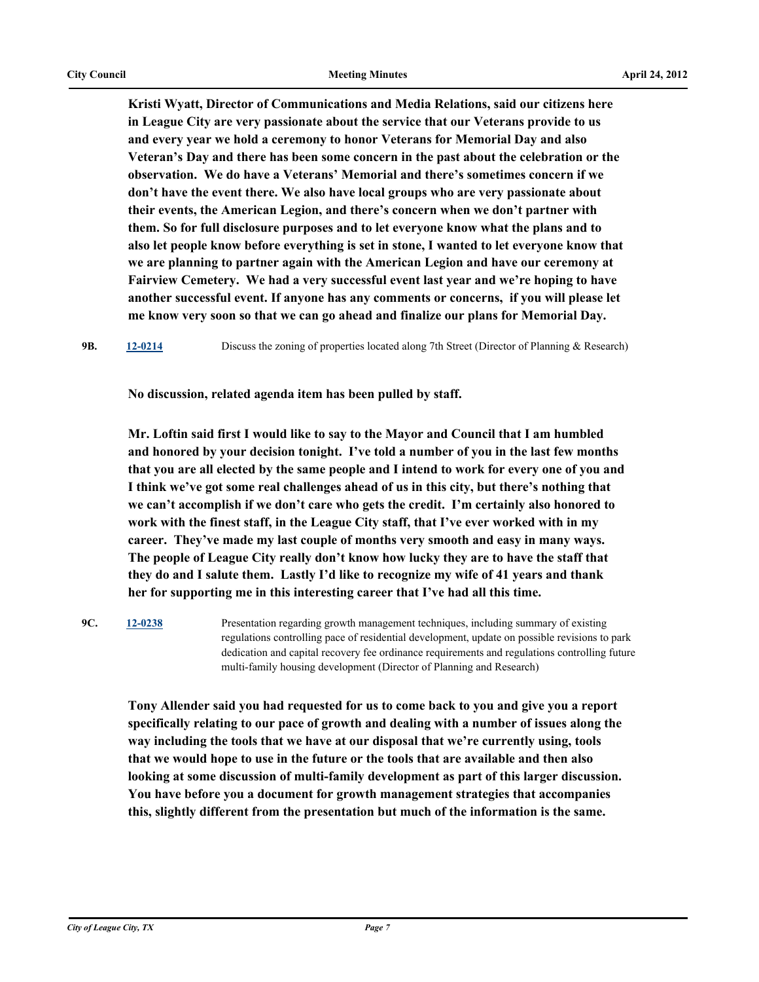**Kristi Wyatt, Director of Communications and Media Relations, said our citizens here in League City are very passionate about the service that our Veterans provide to us and every year we hold a ceremony to honor Veterans for Memorial Day and also Veteran's Day and there has been some concern in the past about the celebration or the observation. We do have a Veterans' Memorial and there's sometimes concern if we don't have the event there. We also have local groups who are very passionate about their events, the American Legion, and there's concern when we don't partner with them. So for full disclosure purposes and to let everyone know what the plans and to also let people know before everything is set in stone, I wanted to let everyone know that we are planning to partner again with the American Legion and have our ceremony at Fairview Cemetery. We had a very successful event last year and we're hoping to have another successful event. If anyone has any comments or concerns, if you will please let me know very soon so that we can go ahead and finalize our plans for Memorial Day.**

**9B. [12-0214](http://leaguecity.legistar.com/gateway.aspx?m=l&id=3062)** Discuss the zoning of properties located along 7th Street (Director of Planning & Research)

**No discussion, related agenda item has been pulled by staff.**

**Mr. Loftin said first I would like to say to the Mayor and Council that I am humbled and honored by your decision tonight. I've told a number of you in the last few months that you are all elected by the same people and I intend to work for every one of you and I think we've got some real challenges ahead of us in this city, but there's nothing that we can't accomplish if we don't care who gets the credit. I'm certainly also honored to work with the finest staff, in the League City staff, that I've ever worked with in my career. They've made my last couple of months very smooth and easy in many ways. The people of League City really don't know how lucky they are to have the staff that they do and I salute them. Lastly I'd like to recognize my wife of 41 years and thank her for supporting me in this interesting career that I've had all this time.**

**9C. [12-0238](http://leaguecity.legistar.com/gateway.aspx?m=l&id=3086)** Presentation regarding growth management techniques, including summary of existing regulations controlling pace of residential development, update on possible revisions to park dedication and capital recovery fee ordinance requirements and regulations controlling future multi-family housing development (Director of Planning and Research)

**Tony Allender said you had requested for us to come back to you and give you a report specifically relating to our pace of growth and dealing with a number of issues along the way including the tools that we have at our disposal that we're currently using, tools that we would hope to use in the future or the tools that are available and then also looking at some discussion of multi-family development as part of this larger discussion. You have before you a document for growth management strategies that accompanies this, slightly different from the presentation but much of the information is the same.**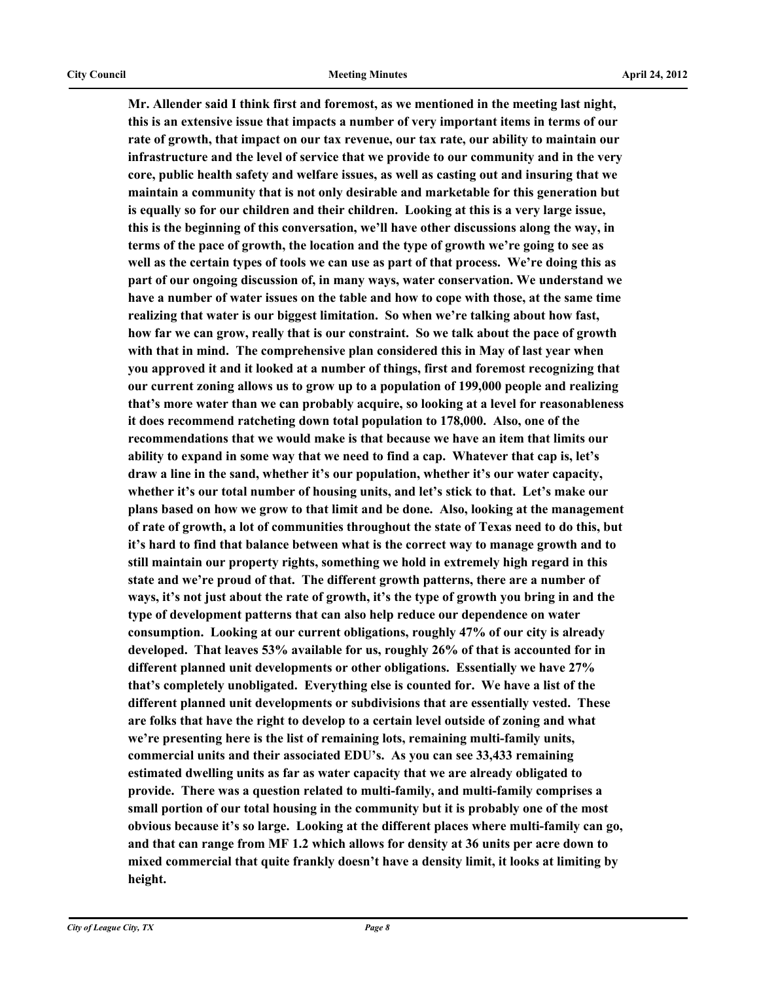**Mr. Allender said I think first and foremost, as we mentioned in the meeting last night, this is an extensive issue that impacts a number of very important items in terms of our rate of growth, that impact on our tax revenue, our tax rate, our ability to maintain our infrastructure and the level of service that we provide to our community and in the very core, public health safety and welfare issues, as well as casting out and insuring that we maintain a community that is not only desirable and marketable for this generation but is equally so for our children and their children. Looking at this is a very large issue, this is the beginning of this conversation, we'll have other discussions along the way, in terms of the pace of growth, the location and the type of growth we're going to see as well as the certain types of tools we can use as part of that process. We're doing this as part of our ongoing discussion of, in many ways, water conservation. We understand we have a number of water issues on the table and how to cope with those, at the same time realizing that water is our biggest limitation. So when we're talking about how fast, how far we can grow, really that is our constraint. So we talk about the pace of growth with that in mind. The comprehensive plan considered this in May of last year when you approved it and it looked at a number of things, first and foremost recognizing that our current zoning allows us to grow up to a population of 199,000 people and realizing that's more water than we can probably acquire, so looking at a level for reasonableness it does recommend ratcheting down total population to 178,000. Also, one of the recommendations that we would make is that because we have an item that limits our ability to expand in some way that we need to find a cap. Whatever that cap is, let's draw a line in the sand, whether it's our population, whether it's our water capacity, whether it's our total number of housing units, and let's stick to that. Let's make our plans based on how we grow to that limit and be done. Also, looking at the management of rate of growth, a lot of communities throughout the state of Texas need to do this, but it's hard to find that balance between what is the correct way to manage growth and to still maintain our property rights, something we hold in extremely high regard in this state and we're proud of that. The different growth patterns, there are a number of ways, it's not just about the rate of growth, it's the type of growth you bring in and the type of development patterns that can also help reduce our dependence on water consumption. Looking at our current obligations, roughly 47% of our city is already developed. That leaves 53% available for us, roughly 26% of that is accounted for in different planned unit developments or other obligations. Essentially we have 27% that's completely unobligated. Everything else is counted for. We have a list of the different planned unit developments or subdivisions that are essentially vested. These are folks that have the right to develop to a certain level outside of zoning and what we're presenting here is the list of remaining lots, remaining multi-family units, commercial units and their associated EDU's. As you can see 33,433 remaining estimated dwelling units as far as water capacity that we are already obligated to provide. There was a question related to multi-family, and multi-family comprises a small portion of our total housing in the community but it is probably one of the most obvious because it's so large. Looking at the different places where multi-family can go, and that can range from MF 1.2 which allows for density at 36 units per acre down to mixed commercial that quite frankly doesn't have a density limit, it looks at limiting by height.**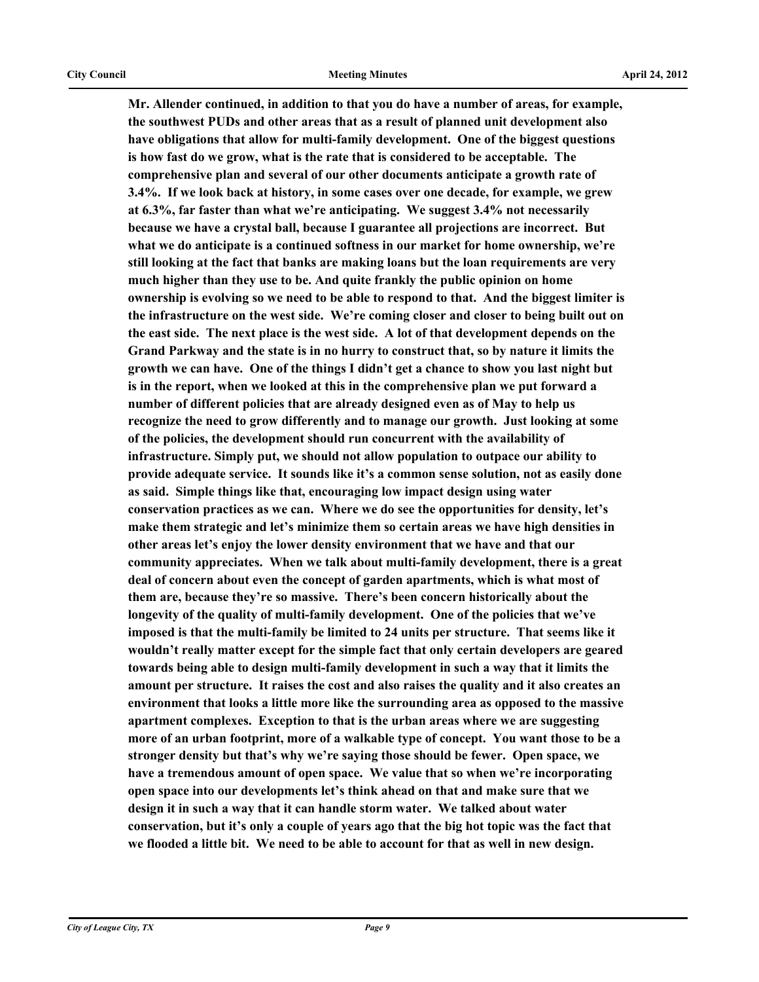**Mr. Allender continued, in addition to that you do have a number of areas, for example, the southwest PUDs and other areas that as a result of planned unit development also have obligations that allow for multi-family development. One of the biggest questions is how fast do we grow, what is the rate that is considered to be acceptable. The comprehensive plan and several of our other documents anticipate a growth rate of 3.4%. If we look back at history, in some cases over one decade, for example, we grew at 6.3%, far faster than what we're anticipating. We suggest 3.4% not necessarily because we have a crystal ball, because I guarantee all projections are incorrect. But what we do anticipate is a continued softness in our market for home ownership, we're still looking at the fact that banks are making loans but the loan requirements are very much higher than they use to be. And quite frankly the public opinion on home ownership is evolving so we need to be able to respond to that. And the biggest limiter is the infrastructure on the west side. We're coming closer and closer to being built out on the east side. The next place is the west side. A lot of that development depends on the Grand Parkway and the state is in no hurry to construct that, so by nature it limits the growth we can have. One of the things I didn't get a chance to show you last night but is in the report, when we looked at this in the comprehensive plan we put forward a number of different policies that are already designed even as of May to help us recognize the need to grow differently and to manage our growth. Just looking at some of the policies, the development should run concurrent with the availability of infrastructure. Simply put, we should not allow population to outpace our ability to provide adequate service. It sounds like it's a common sense solution, not as easily done as said. Simple things like that, encouraging low impact design using water conservation practices as we can. Where we do see the opportunities for density, let's make them strategic and let's minimize them so certain areas we have high densities in other areas let's enjoy the lower density environment that we have and that our community appreciates. When we talk about multi-family development, there is a great deal of concern about even the concept of garden apartments, which is what most of them are, because they're so massive. There's been concern historically about the longevity of the quality of multi-family development. One of the policies that we've imposed is that the multi-family be limited to 24 units per structure. That seems like it wouldn't really matter except for the simple fact that only certain developers are geared towards being able to design multi-family development in such a way that it limits the amount per structure. It raises the cost and also raises the quality and it also creates an environment that looks a little more like the surrounding area as opposed to the massive apartment complexes. Exception to that is the urban areas where we are suggesting more of an urban footprint, more of a walkable type of concept. You want those to be a stronger density but that's why we're saying those should be fewer. Open space, we have a tremendous amount of open space. We value that so when we're incorporating open space into our developments let's think ahead on that and make sure that we design it in such a way that it can handle storm water. We talked about water conservation, but it's only a couple of years ago that the big hot topic was the fact that we flooded a little bit. We need to be able to account for that as well in new design.**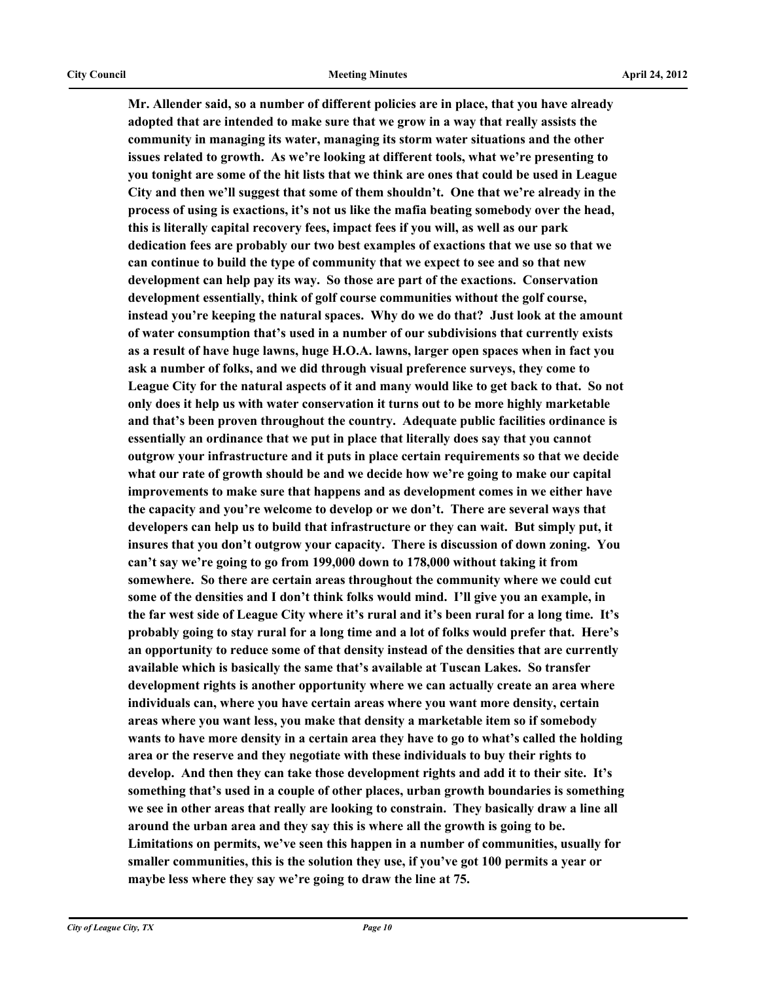**Mr. Allender said, so a number of different policies are in place, that you have already adopted that are intended to make sure that we grow in a way that really assists the community in managing its water, managing its storm water situations and the other issues related to growth. As we're looking at different tools, what we're presenting to you tonight are some of the hit lists that we think are ones that could be used in League City and then we'll suggest that some of them shouldn't. One that we're already in the process of using is exactions, it's not us like the mafia beating somebody over the head, this is literally capital recovery fees, impact fees if you will, as well as our park dedication fees are probably our two best examples of exactions that we use so that we can continue to build the type of community that we expect to see and so that new development can help pay its way. So those are part of the exactions. Conservation development essentially, think of golf course communities without the golf course, instead you're keeping the natural spaces. Why do we do that? Just look at the amount of water consumption that's used in a number of our subdivisions that currently exists as a result of have huge lawns, huge H.O.A. lawns, larger open spaces when in fact you ask a number of folks, and we did through visual preference surveys, they come to League City for the natural aspects of it and many would like to get back to that. So not only does it help us with water conservation it turns out to be more highly marketable and that's been proven throughout the country. Adequate public facilities ordinance is essentially an ordinance that we put in place that literally does say that you cannot outgrow your infrastructure and it puts in place certain requirements so that we decide what our rate of growth should be and we decide how we're going to make our capital improvements to make sure that happens and as development comes in we either have the capacity and you're welcome to develop or we don't. There are several ways that developers can help us to build that infrastructure or they can wait. But simply put, it insures that you don't outgrow your capacity. There is discussion of down zoning. You can't say we're going to go from 199,000 down to 178,000 without taking it from somewhere. So there are certain areas throughout the community where we could cut some of the densities and I don't think folks would mind. I'll give you an example, in the far west side of League City where it's rural and it's been rural for a long time. It's probably going to stay rural for a long time and a lot of folks would prefer that. Here's an opportunity to reduce some of that density instead of the densities that are currently available which is basically the same that's available at Tuscan Lakes. So transfer development rights is another opportunity where we can actually create an area where individuals can, where you have certain areas where you want more density, certain areas where you want less, you make that density a marketable item so if somebody wants to have more density in a certain area they have to go to what's called the holding area or the reserve and they negotiate with these individuals to buy their rights to develop. And then they can take those development rights and add it to their site. It's something that's used in a couple of other places, urban growth boundaries is something we see in other areas that really are looking to constrain. They basically draw a line all around the urban area and they say this is where all the growth is going to be. Limitations on permits, we've seen this happen in a number of communities, usually for smaller communities, this is the solution they use, if you've got 100 permits a year or maybe less where they say we're going to draw the line at 75.**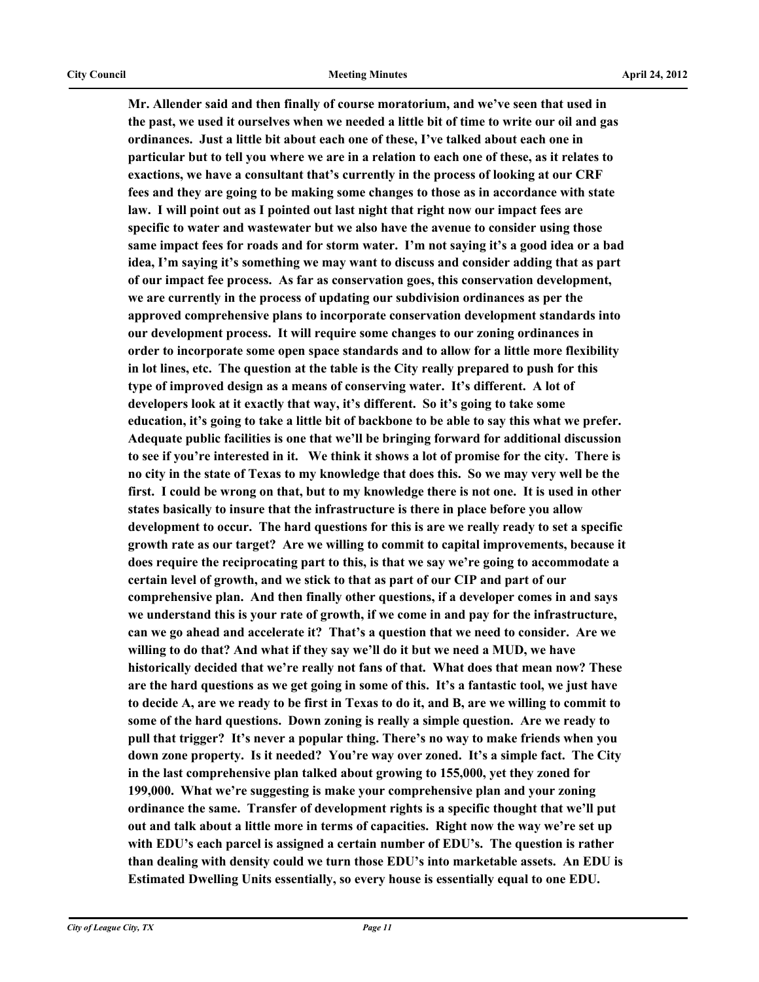**Mr. Allender said and then finally of course moratorium, and we've seen that used in the past, we used it ourselves when we needed a little bit of time to write our oil and gas ordinances. Just a little bit about each one of these, I've talked about each one in particular but to tell you where we are in a relation to each one of these, as it relates to exactions, we have a consultant that's currently in the process of looking at our CRF fees and they are going to be making some changes to those as in accordance with state law. I will point out as I pointed out last night that right now our impact fees are specific to water and wastewater but we also have the avenue to consider using those same impact fees for roads and for storm water. I'm not saying it's a good idea or a bad idea, I'm saying it's something we may want to discuss and consider adding that as part of our impact fee process. As far as conservation goes, this conservation development, we are currently in the process of updating our subdivision ordinances as per the approved comprehensive plans to incorporate conservation development standards into our development process. It will require some changes to our zoning ordinances in order to incorporate some open space standards and to allow for a little more flexibility in lot lines, etc. The question at the table is the City really prepared to push for this type of improved design as a means of conserving water. It's different. A lot of developers look at it exactly that way, it's different. So it's going to take some education, it's going to take a little bit of backbone to be able to say this what we prefer. Adequate public facilities is one that we'll be bringing forward for additional discussion to see if you're interested in it. We think it shows a lot of promise for the city. There is no city in the state of Texas to my knowledge that does this. So we may very well be the first. I could be wrong on that, but to my knowledge there is not one. It is used in other states basically to insure that the infrastructure is there in place before you allow development to occur. The hard questions for this is are we really ready to set a specific growth rate as our target? Are we willing to commit to capital improvements, because it does require the reciprocating part to this, is that we say we're going to accommodate a certain level of growth, and we stick to that as part of our CIP and part of our comprehensive plan. And then finally other questions, if a developer comes in and says we understand this is your rate of growth, if we come in and pay for the infrastructure, can we go ahead and accelerate it? That's a question that we need to consider. Are we willing to do that? And what if they say we'll do it but we need a MUD, we have historically decided that we're really not fans of that. What does that mean now? These are the hard questions as we get going in some of this. It's a fantastic tool, we just have to decide A, are we ready to be first in Texas to do it, and B, are we willing to commit to some of the hard questions. Down zoning is really a simple question. Are we ready to pull that trigger? It's never a popular thing. There's no way to make friends when you down zone property. Is it needed? You're way over zoned. It's a simple fact. The City in the last comprehensive plan talked about growing to 155,000, yet they zoned for 199,000. What we're suggesting is make your comprehensive plan and your zoning ordinance the same. Transfer of development rights is a specific thought that we'll put out and talk about a little more in terms of capacities. Right now the way we're set up with EDU's each parcel is assigned a certain number of EDU's. The question is rather than dealing with density could we turn those EDU's into marketable assets. An EDU is Estimated Dwelling Units essentially, so every house is essentially equal to one EDU.**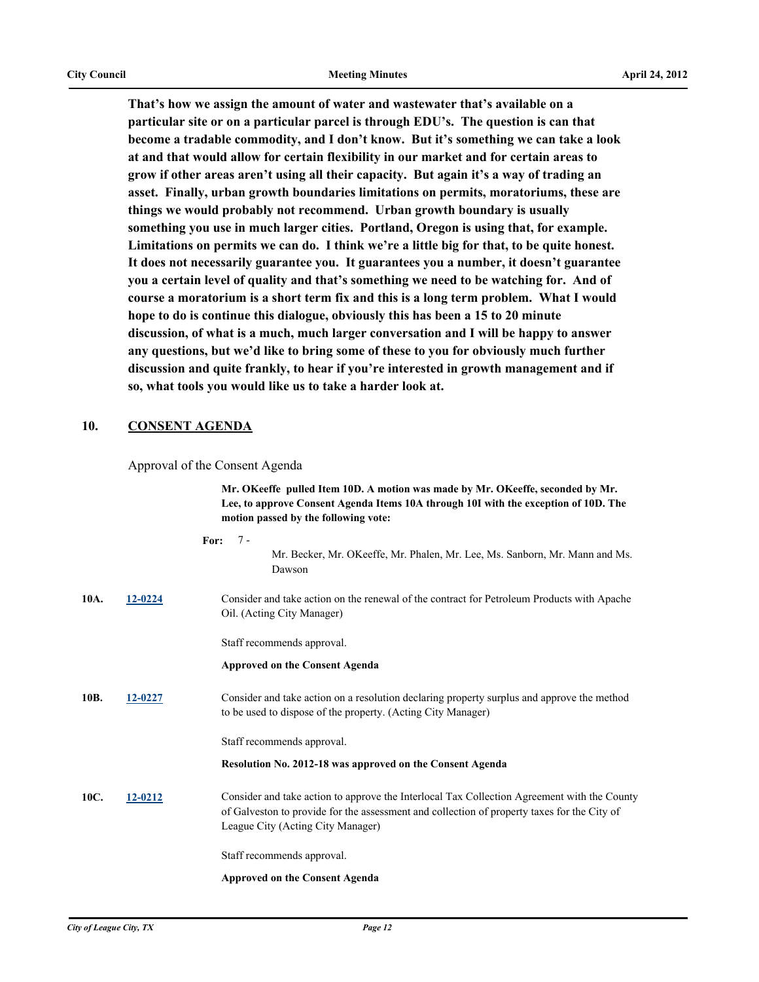**That's how we assign the amount of water and wastewater that's available on a particular site or on a particular parcel is through EDU's. The question is can that become a tradable commodity, and I don't know. But it's something we can take a look at and that would allow for certain flexibility in our market and for certain areas to grow if other areas aren't using all their capacity. But again it's a way of trading an asset. Finally, urban growth boundaries limitations on permits, moratoriums, these are things we would probably not recommend. Urban growth boundary is usually something you use in much larger cities. Portland, Oregon is using that, for example. Limitations on permits we can do. I think we're a little big for that, to be quite honest. It does not necessarily guarantee you. It guarantees you a number, it doesn't guarantee you a certain level of quality and that's something we need to be watching for. And of course a moratorium is a short term fix and this is a long term problem. What I would hope to do is continue this dialogue, obviously this has been a 15 to 20 minute discussion, of what is a much, much larger conversation and I will be happy to answer any questions, but we'd like to bring some of these to you for obviously much further discussion and quite frankly, to hear if you're interested in growth management and if so, what tools you would like us to take a harder look at.**

### **10. CONSENT AGENDA**

#### Approval of the Consent Agenda

**Mr. OKeeffe pulled Item 10D. A motion was made by Mr. OKeeffe, seconded by Mr. Lee, to approve Consent Agenda Items 10A through 10I with the exception of 10D. The motion passed by the following vote:**

|      |         | $7 -$<br>For:                                                                                                                                                                                                                   |
|------|---------|---------------------------------------------------------------------------------------------------------------------------------------------------------------------------------------------------------------------------------|
|      |         | Mr. Becker, Mr. OKeeffe, Mr. Phalen, Mr. Lee, Ms. Sanborn, Mr. Mann and Ms.<br>Dawson                                                                                                                                           |
| 10A. | 12-0224 | Consider and take action on the renewal of the contract for Petroleum Products with Apache<br>Oil. (Acting City Manager)                                                                                                        |
|      |         | Staff recommends approval.                                                                                                                                                                                                      |
|      |         | <b>Approved on the Consent Agenda</b>                                                                                                                                                                                           |
| 10B. | 12-0227 | Consider and take action on a resolution declaring property surplus and approve the method<br>to be used to dispose of the property. (Acting City Manager)                                                                      |
|      |         | Staff recommends approval.                                                                                                                                                                                                      |
|      |         | Resolution No. 2012-18 was approved on the Consent Agenda                                                                                                                                                                       |
| 10C. | 12-0212 | Consider and take action to approve the Interlocal Tax Collection Agreement with the County<br>of Galveston to provide for the assessment and collection of property taxes for the City of<br>League City (Acting City Manager) |
|      |         | Staff recommends approval.                                                                                                                                                                                                      |
|      |         | <b>Approved on the Consent Agenda</b>                                                                                                                                                                                           |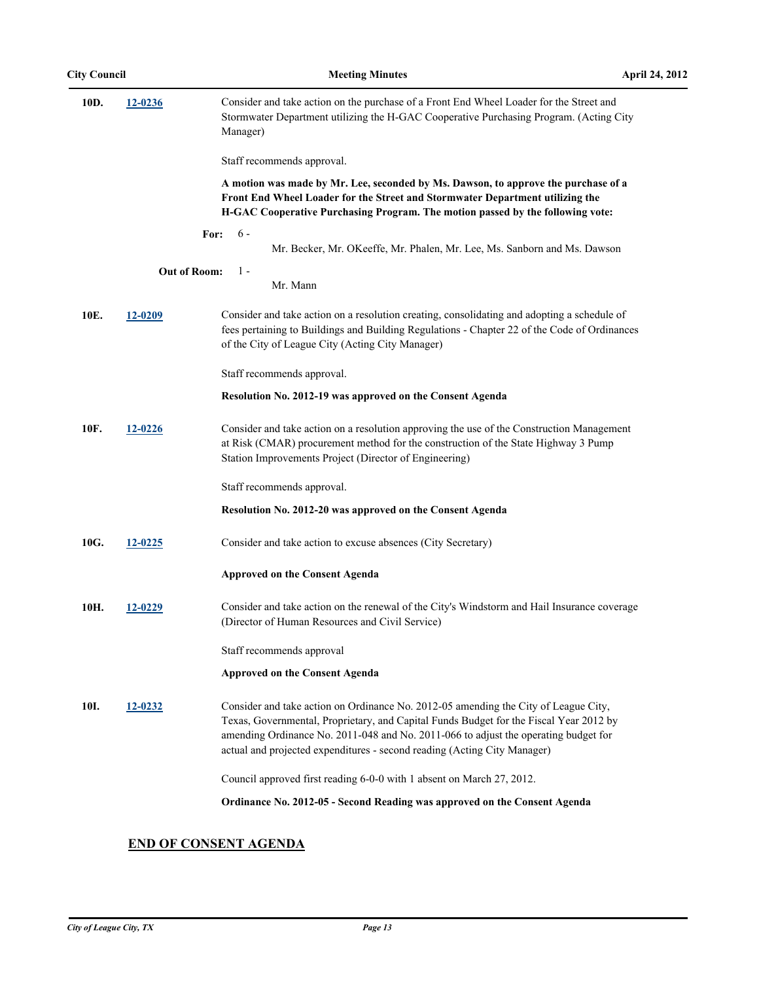| 10D. | 12-0236             | Consider and take action on the purchase of a Front End Wheel Loader for the Street and<br>Stormwater Department utilizing the H-GAC Cooperative Purchasing Program. (Acting City<br>Manager)                                                                                                                                                    |
|------|---------------------|--------------------------------------------------------------------------------------------------------------------------------------------------------------------------------------------------------------------------------------------------------------------------------------------------------------------------------------------------|
|      |                     | Staff recommends approval.                                                                                                                                                                                                                                                                                                                       |
|      |                     | A motion was made by Mr. Lee, seconded by Ms. Dawson, to approve the purchase of a<br>Front End Wheel Loader for the Street and Stormwater Department utilizing the<br>H-GAC Cooperative Purchasing Program. The motion passed by the following vote:                                                                                            |
|      | For:                | $6 -$<br>Mr. Becker, Mr. OKeeffe, Mr. Phalen, Mr. Lee, Ms. Sanborn and Ms. Dawson                                                                                                                                                                                                                                                                |
|      | <b>Out of Room:</b> | $1 -$<br>Mr. Mann                                                                                                                                                                                                                                                                                                                                |
| 10E. | 12-0209             | Consider and take action on a resolution creating, consolidating and adopting a schedule of<br>fees pertaining to Buildings and Building Regulations - Chapter 22 of the Code of Ordinances<br>of the City of League City (Acting City Manager)                                                                                                  |
|      |                     | Staff recommends approval.                                                                                                                                                                                                                                                                                                                       |
|      |                     | Resolution No. 2012-19 was approved on the Consent Agenda                                                                                                                                                                                                                                                                                        |
| 10F. | 12-0226             | Consider and take action on a resolution approving the use of the Construction Management<br>at Risk (CMAR) procurement method for the construction of the State Highway 3 Pump<br>Station Improvements Project (Director of Engineering)                                                                                                        |
|      |                     | Staff recommends approval.                                                                                                                                                                                                                                                                                                                       |
|      |                     | Resolution No. 2012-20 was approved on the Consent Agenda                                                                                                                                                                                                                                                                                        |
| 10G. | 12-0225             | Consider and take action to excuse absences (City Secretary)                                                                                                                                                                                                                                                                                     |
|      |                     | <b>Approved on the Consent Agenda</b>                                                                                                                                                                                                                                                                                                            |
| 10H. | 12-0229             | Consider and take action on the renewal of the City's Windstorm and Hail Insurance coverage<br>(Director of Human Resources and Civil Service)                                                                                                                                                                                                   |
|      |                     | Staff recommends approval                                                                                                                                                                                                                                                                                                                        |
|      |                     | <b>Approved on the Consent Agenda</b>                                                                                                                                                                                                                                                                                                            |
| 10I. | 12-0232             | Consider and take action on Ordinance No. 2012-05 amending the City of League City,<br>Texas, Governmental, Proprietary, and Capital Funds Budget for the Fiscal Year 2012 by<br>amending Ordinance No. 2011-048 and No. 2011-066 to adjust the operating budget for<br>actual and projected expenditures - second reading (Acting City Manager) |
|      |                     | Council approved first reading 6-0-0 with 1 absent on March 27, 2012.                                                                                                                                                                                                                                                                            |
|      |                     | Ordinance No. 2012-05 - Second Reading was approved on the Consent Agenda                                                                                                                                                                                                                                                                        |

## **END OF CONSENT AGENDA**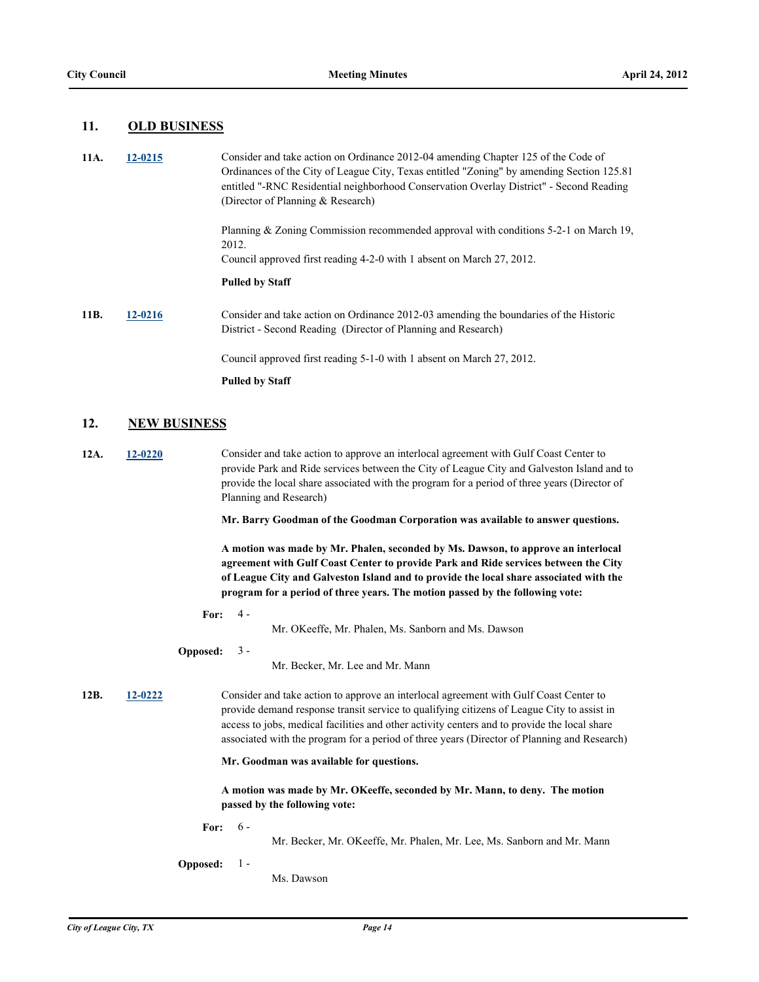### **11. OLD BUSINESS**

| 11A. | 12-0215 | Consider and take action on Ordinance 2012-04 amending Chapter 125 of the Code of<br>Ordinances of the City of League City, Texas entitled "Zoning" by amending Section 125.81<br>entitled "-RNC Residential neighborhood Conservation Overlay District" - Second Reading<br>(Director of Planning & Research) |
|------|---------|----------------------------------------------------------------------------------------------------------------------------------------------------------------------------------------------------------------------------------------------------------------------------------------------------------------|
|      |         | Planning & Zoning Commission recommended approval with conditions $5-2-1$ on March 19,<br>2012.                                                                                                                                                                                                                |
|      |         | Council approved first reading 4-2-0 with 1 absent on March 27, 2012.                                                                                                                                                                                                                                          |
|      |         | <b>Pulled by Staff</b>                                                                                                                                                                                                                                                                                         |
| 11B. | 12-0216 | Consider and take action on Ordinance 2012-03 amending the boundaries of the Historic<br>District - Second Reading (Director of Planning and Research)                                                                                                                                                         |
|      |         | Council approved first reading 5-1-0 with 1 absent on March 27, 2012.                                                                                                                                                                                                                                          |
|      |         | <b>Pulled by Staff</b>                                                                                                                                                                                                                                                                                         |

### **12. NEW BUSINESS**

**12A. [12-0220](http://leaguecity.legistar.com/gateway.aspx?m=l&id=3068)** Consider and take action to approve an interlocal agreement with Gulf Coast Center to provide Park and Ride services between the City of League City and Galveston Island and to provide the local share associated with the program for a period of three years (Director of Planning and Research)

**Mr. Barry Goodman of the Goodman Corporation was available to answer questions.**

**A motion was made by Mr. Phalen, seconded by Ms. Dawson, to approve an interlocal agreement with Gulf Coast Center to provide Park and Ride services between the City of League City and Galveston Island and to provide the local share associated with the program for a period of three years. The motion passed by the following vote:**

**For:**  $4 -$ 

Mr. OKeeffe, Mr. Phalen, Ms. Sanborn and Ms. Dawson

**Opposed:** 3 -

Mr. Becker, Mr. Lee and Mr. Mann

**12B. [12-0222](http://leaguecity.legistar.com/gateway.aspx?m=l&id=3070)** Consider and take action to approve an interlocal agreement with Gulf Coast Center to provide demand response transit service to qualifying citizens of League City to assist in access to jobs, medical facilities and other activity centers and to provide the local share associated with the program for a period of three years (Director of Planning and Research)

**Mr. Goodman was available for questions.**

**A motion was made by Mr. OKeeffe, seconded by Mr. Mann, to deny. The motion passed by the following vote:**

**For:** 6 -

Mr. Becker, Mr. OKeeffe, Mr. Phalen, Mr. Lee, Ms. Sanborn and Mr. Mann

**Opposed:** 1 -

Ms. Dawson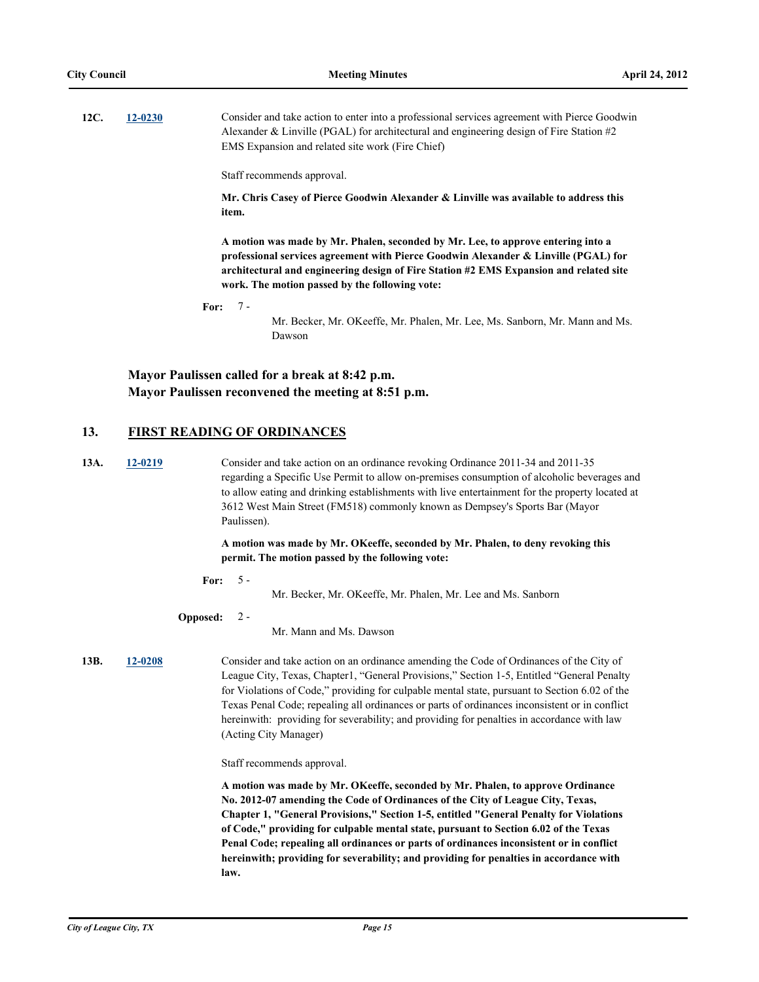| 12C. | $12 - 0230$ | Consider and take action to enter into a professional services agreement with Pierce Goodwin |
|------|-------------|----------------------------------------------------------------------------------------------|
|      |             | Alexander & Linville (PGAL) for architectural and engineering design of Fire Station $#2$    |
|      |             | EMS Expansion and related site work (Fire Chief)                                             |

Staff recommends approval.

**Mr. Chris Casey of Pierce Goodwin Alexander & Linville was available to address this item.**

**A motion was made by Mr. Phalen, seconded by Mr. Lee, to approve entering into a professional services agreement with Pierce Goodwin Alexander & Linville (PGAL) for architectural and engineering design of Fire Station #2 EMS Expansion and related site work. The motion passed by the following vote:**

**For:** 7 -

Mr. Becker, Mr. OKeeffe, Mr. Phalen, Mr. Lee, Ms. Sanborn, Mr. Mann and Ms. Dawson

### **Mayor Paulissen called for a break at 8:42 p.m. Mayor Paulissen reconvened the meeting at 8:51 p.m.**

#### **13. FIRST READING OF ORDINANCES**

**13A. [12-0219](http://leaguecity.legistar.com/gateway.aspx?m=l&id=3067)** Consider and take action on an ordinance revoking Ordinance 2011-34 and 2011-35 regarding a Specific Use Permit to allow on-premises consumption of alcoholic beverages and to allow eating and drinking establishments with live entertainment for the property located at 3612 West Main Street (FM518) commonly known as Dempsey's Sports Bar (Mayor Paulissen).

#### **A motion was made by Mr. OKeeffe, seconded by Mr. Phalen, to deny revoking this permit. The motion passed by the following vote:**

**For:** 5 -

Mr. Becker, Mr. OKeeffe, Mr. Phalen, Mr. Lee and Ms. Sanborn

**Opposed:**  $2 -$ 

Mr. Mann and Ms. Dawson

**13B. [12-0208](http://leaguecity.legistar.com/gateway.aspx?m=l&id=3056)** Consider and take action on an ordinance amending the Code of Ordinances of the City of League City, Texas, Chapter1, "General Provisions," Section 1-5, Entitled "General Penalty for Violations of Code," providing for culpable mental state, pursuant to Section 6.02 of the Texas Penal Code; repealing all ordinances or parts of ordinances inconsistent or in conflict hereinwith: providing for severability; and providing for penalties in accordance with law (Acting City Manager)

Staff recommends approval.

**A motion was made by Mr. OKeeffe, seconded by Mr. Phalen, to approve Ordinance No. 2012-07 amending the Code of Ordinances of the City of League City, Texas, Chapter 1, "General Provisions," Section 1-5, entitled "General Penalty for Violations of Code," providing for culpable mental state, pursuant to Section 6.02 of the Texas Penal Code; repealing all ordinances or parts of ordinances inconsistent or in conflict hereinwith; providing for severability; and providing for penalties in accordance with law.**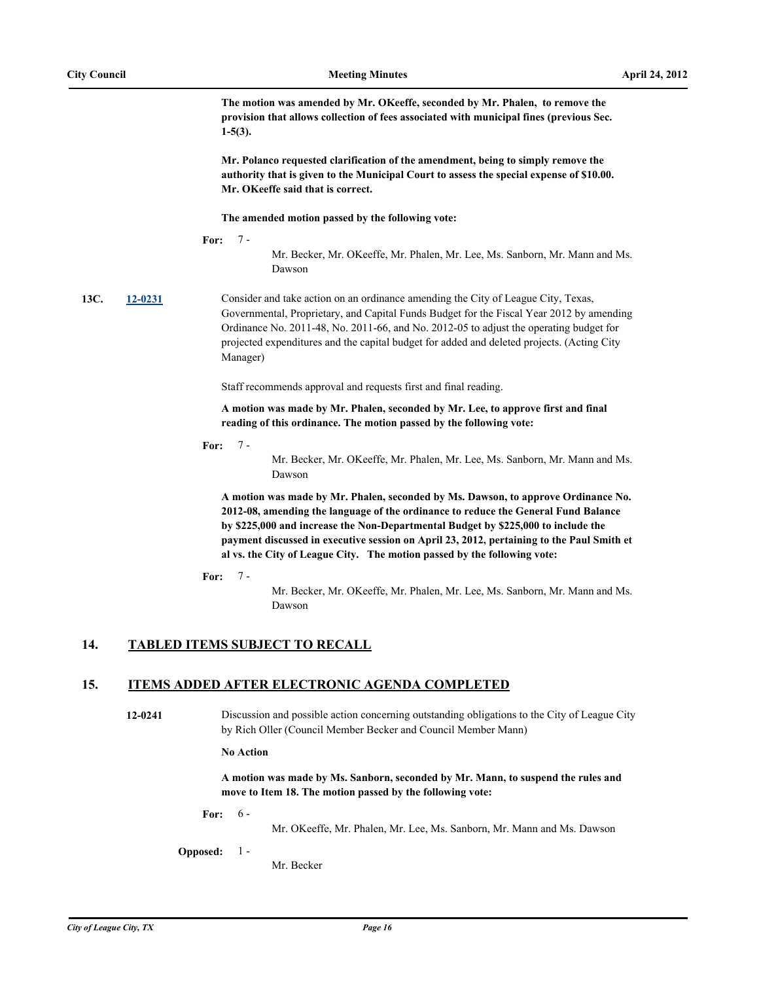**The motion was amended by Mr. OKeeffe, seconded by Mr. Phalen, to remove the provision that allows collection of fees associated with municipal fines (previous Sec. 1-5(3).** 

**Mr. Polanco requested clarification of the amendment, being to simply remove the authority that is given to the Municipal Court to assess the special expense of \$10.00. Mr. OKeeffe said that is correct.**

**The amended motion passed by the following vote:**

**For:** 7 -

Mr. Becker, Mr. OKeeffe, Mr. Phalen, Mr. Lee, Ms. Sanborn, Mr. Mann and Ms. Dawson

**13C. [12-0231](http://leaguecity.legistar.com/gateway.aspx?m=l&id=3079)** Consider and take action on an ordinance amending the City of League City, Texas, Governmental, Proprietary, and Capital Funds Budget for the Fiscal Year 2012 by amending Ordinance No. 2011-48, No. 2011-66, and No. 2012-05 to adjust the operating budget for projected expenditures and the capital budget for added and deleted projects. (Acting City Manager)

Staff recommends approval and requests first and final reading.

**A motion was made by Mr. Phalen, seconded by Mr. Lee, to approve first and final reading of this ordinance. The motion passed by the following vote:**

**For:** 7 -

> Mr. Becker, Mr. OKeeffe, Mr. Phalen, Mr. Lee, Ms. Sanborn, Mr. Mann and Ms. Dawson

**A motion was made by Mr. Phalen, seconded by Ms. Dawson, to approve Ordinance No. 2012-08, amending the language of the ordinance to reduce the General Fund Balance by \$225,000 and increase the Non-Departmental Budget by \$225,000 to include the payment discussed in executive session on April 23, 2012, pertaining to the Paul Smith et al vs. the City of League City. The motion passed by the following vote:**

**For:** 7 -

> Mr. Becker, Mr. OKeeffe, Mr. Phalen, Mr. Lee, Ms. Sanborn, Mr. Mann and Ms. Dawson

### **14. TABLED ITEMS SUBJECT TO RECALL**

### **15. ITEMS ADDED AFTER ELECTRONIC AGENDA COMPLETED**

**12-0241** Discussion and possible action concerning outstanding obligations to the City of League City by Rich Oller (Council Member Becker and Council Member Mann)

**No Action**

**A motion was made by Ms. Sanborn, seconded by Mr. Mann, to suspend the rules and move to Item 18. The motion passed by the following vote:**

**For:** 6 -

Mr. OKeeffe, Mr. Phalen, Mr. Lee, Ms. Sanborn, Mr. Mann and Ms. Dawson

**Opposed:** 1 -

Mr. Becker